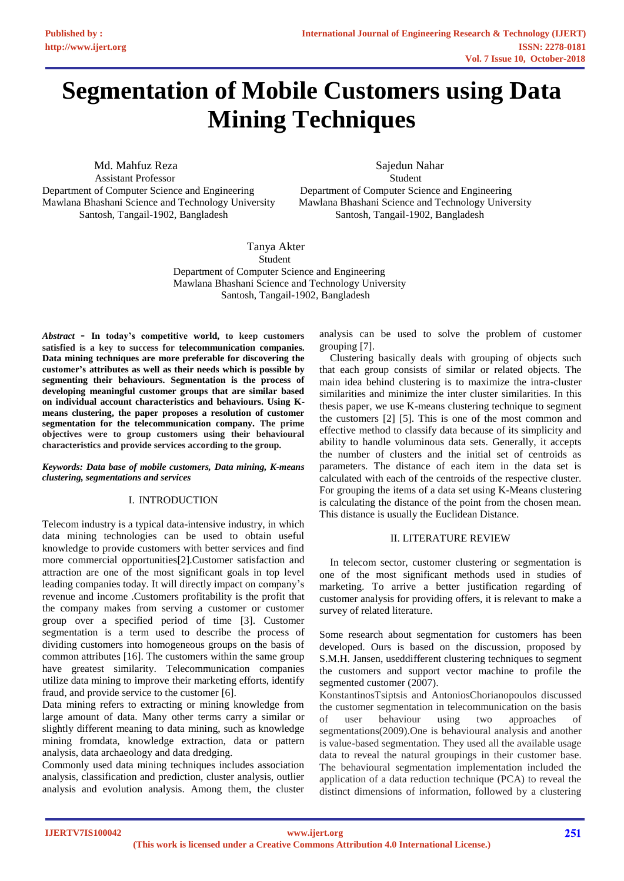# **[Segmentation of Mobile Customers using Data](https://www.ijert.org/cfp)  Mining Techniques**

**Md. Mahfuz Reza** Sajedun Nahar Assistant Professor Student Department of Computer Science and Engineering Department of Computer Science and Engineering Santosh, Tangail-1902, Bangladesh Santosh, Tangail-1902, Bangladesh

Mawlana Bhashani Science and Technology University Mawlana Bhashani Science and Technology University

Tanya Akter Student Department of Computer Science and Engineering Mawlana Bhashani Science and Technology University Santosh, Tangail-1902*,* Bangladesh

*Abstract* - **In today's competitive world, to keep customers satisfied is a key to success for telecommunication companies. Data mining techniques are more preferable for discovering the customer's attributes as well as their needs which is possible by segmenting their behaviours. Segmentation is the process of developing meaningful customer groups that are similar based on individual account characteristics and behaviours. Using Kmeans clustering, the paper proposes a resolution of customer segmentation for the telecommunication company. The prime objectives were to group customers using their behavioural characteristics and provide services according to the group.**

*Keywords: Data base of mobile customers, Data mining, K-means clustering, segmentations and services*

## I. INTRODUCTION

Telecom industry is a typical data-intensive industry, in which data mining technologies can be used to obtain useful knowledge to provide customers with better services and find more commercial opportunities[2].Customer satisfaction and attraction are one of the most significant goals in top level leading companies today. It will directly impact on company's revenue and income .Customers profitability is the profit that the company makes from serving a customer or customer group over a specified period of time [3]. Customer segmentation is a term used to describe the process of dividing customers into homogeneous groups on the basis of common attributes [16]. The customers within the same group have greatest similarity. Telecommunication companies utilize data mining to improve their marketing efforts, identify fraud, and provide service to the customer [6].

Data mining refers to extracting or mining knowledge from large amount of data. Many other terms carry a similar or slightly different meaning to data mining, such as knowledge mining fromdata, knowledge extraction, data or pattern analysis, data archaeology and data dredging.

Commonly used data mining techniques includes association analysis, classification and prediction, cluster analysis, outlier analysis and evolution analysis. Among them, the cluster analysis can be used to solve the problem of customer grouping [7].

 Clustering basically deals with grouping of objects such that each group consists of similar or related objects. The main idea behind clustering is to maximize the intra-cluster similarities and minimize the inter cluster similarities. In this thesis paper, we use K-means clustering technique to segment the customers [2] [5]. This is one of the most common and effective method to classify data because of its simplicity and ability to handle voluminous data sets. Generally, it accepts the number of clusters and the initial set of centroids as parameters. The distance of each item in the data set is calculated with each of the centroids of the respective cluster. For grouping the items of a data set using K-Means clustering is calculating the distance of the point from the chosen mean. This distance is usually the Euclidean Distance.

## II. LITERATURE REVIEW

 In telecom sector, customer clustering or segmentation is one of the most significant methods used in studies of marketing. To arrive a better justification regarding of customer analysis for providing offers, it is relevant to make a survey of related literature.

Some research about segmentation for customers has been developed. Ours is based on the discussion, proposed by S.M.H. Jansen, useddifferent clustering techniques to segment the customers and support vector machine to profile the segmented customer (2007).

KonstantinosTsiptsis and AntoniosChorianopoulos discussed the customer segmentation in telecommunication on the basis of user behaviour using two approaches segmentations(2009).One is behavioural analysis and another is value-based segmentation. They used all the available usage data to reveal the natural groupings in their customer base. The behavioural segmentation implementation included the application of a data reduction technique (PCA) to reveal the distinct dimensions of information, followed by a clustering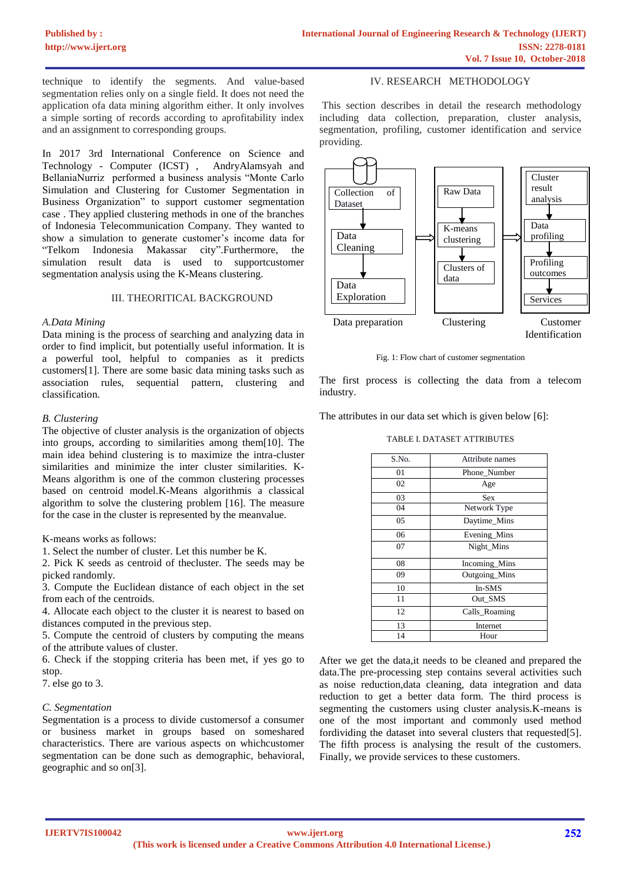technique to identify the segments. And value-based segmentation relies only on a single field. It does not need the application ofa data mining algorithm either. It only involves a simple sorting of records according to aprofitability index and an assignment to corresponding groups.

In 2017 3rd International Conference on Science and Technology - Computer (ICST) , AndryAlamsyah and BellaniaNurriz performed a business analysis "Monte Carlo Simulation and Clustering for Customer Segmentation in Business Organization" to support customer segmentation case . They applied clustering methods in one of the branches of Indonesia Telecommunication Company. They wanted to show a simulation to generate customer's income data for "Telkom Indonesia Makassar city".Furthermore, the simulation result data is used to supportcustomer segmentation analysis using the K-Means clustering.

#### III. THEORITICAL BACKGROUND

## *A.Data Mining*

Data mining is the process of searching and analyzing data in order to find implicit, but potentially useful information. It is a powerful tool, helpful to companies as it predicts customers[1]. There are some basic data mining tasks such as association rules, sequential pattern, clustering and classification.

## *B. Clustering*

The objective of cluster analysis is the organization of objects into groups, according to similarities among them[10]. The main idea behind clustering is to maximize the intra-cluster similarities and minimize the inter cluster similarities. K-Means algorithm is one of the common clustering processes based on centroid model.K-Means algorithmis a classical algorithm to solve the clustering problem [16]. The measure for the case in the cluster is represented by the meanvalue.

K-means works as follows:

1. Select the number of cluster. Let this number be K.

2. Pick K seeds as centroid of thecluster. The seeds may be picked randomly.

3. Compute the Euclidean distance of each object in the set from each of the centroids.

4. Allocate each object to the cluster it is nearest to based on distances computed in the previous step.

5. Compute the centroid of clusters by computing the means of the attribute values of cluster.

6. Check if the stopping criteria has been met, if yes go to stop.

7. else go to 3.

## *C. Segmentation*

Segmentation is a process to divide customersof a consumer or business market in groups based on someshared characteristics. There are various aspects on whichcustomer segmentation can be done such as demographic, behavioral, geographic and so on[3].

## IV. RESEARCH METHODOLOGY

This section describes in detail the research methodology including data collection, preparation, cluster analysis, segmentation, profiling, customer identification and service providing.



Fig. 1: Flow chart of customer segmentation

The first process is collecting the data from a telecom industry.

The attributes in our data set which is given below [6]:

TABLE I. DATASET ATTRIBUTES

| S.No. | Attribute names |
|-------|-----------------|
| 01    | Phone_Number    |
| 02    | Age             |
| 03    | <b>Sex</b>      |
| 04    | Network Type    |
| 05    | Daytime_Mins    |
| 06    | Evening_Mins    |
| 07    | Night_Mins      |
| 08    | Incoming_Mins   |
| 09    | Outgoing_Mins   |
| 10    | In-SMS          |
| 11    | Out_SMS         |
| 12    | Calls_Roaming   |
| 13    | Internet        |
| 14    | Hour            |

After we get the data,it needs to be cleaned and prepared the data.The pre-processing step contains several activities such as noise reduction,data cleaning, data integration and data reduction to get a better data form. The third process is segmenting the customers using cluster analysis.K-means is one of the most important and commonly used method fordividing the dataset into several clusters that requested[5]. The fifth process is analysing the result of the customers. Finally, we provide services to these customers.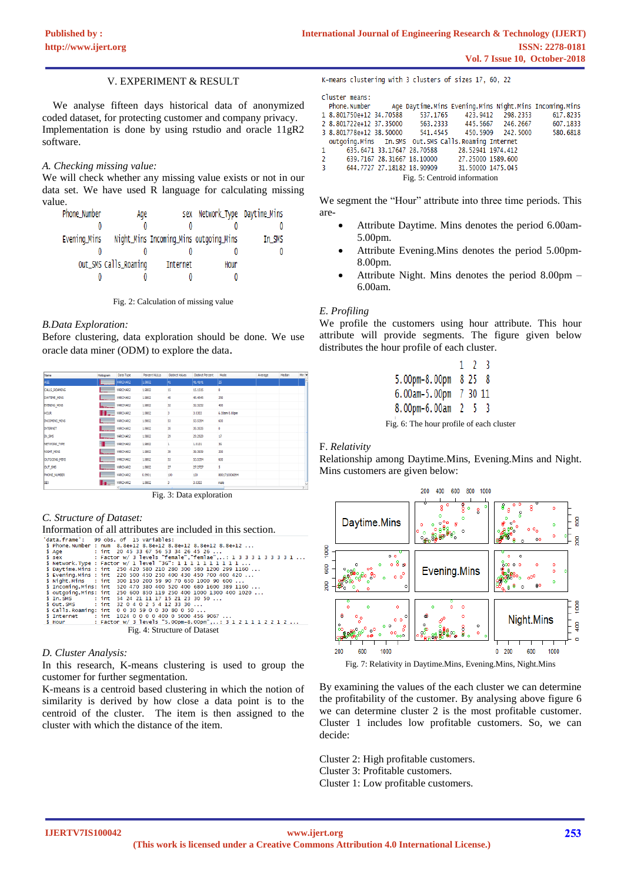## V. EXPERIMENT & RESULT

 We analyse fifteen days historical data of anonymized coded dataset, for protecting customer and company privacy. Implementation is done by using rstudio and oracle 11gR2 software.

## *A. Checking missing value:*

We will check whether any missing value exists or not in our data set. We have used R language for calculating missing value.

| Phone_Number | Age                   |                                        | sex Network_Type Daytime_Mins |        |
|--------------|-----------------------|----------------------------------------|-------------------------------|--------|
|              |                       |                                        |                               |        |
| Evening_Mins |                       | Night_Mins Incoming_Mins outgoing_Mins |                               | In_SMS |
|              |                       |                                        |                               |        |
|              | Out_SMS Calls_Roaming | Internet                               | Hour                          |        |
|              |                       |                                        |                               |        |

Fig. 2: Calculation of missing value

## *B.Data Exploration:*

Before clustering, data exploration should be done. We use oracle data miner (ODM) to explore the data.

| Name                 | Histogram        | Data Type       | Percent NULLs | <b>Distinct Values</b> | <b>Distinct Percent</b> | Mode          | Average | Median | Mn <sup>1</sup> |
|----------------------|------------------|-----------------|---------------|------------------------|-------------------------|---------------|---------|--------|-----------------|
| AGE.                 | <b>TELESCOPE</b> | <b>IARCHAR2</b> | 1.9802        | 141                    | 41.4141                 | 2S            |         |        |                 |
| <b>CALLS ROAMING</b> | and the          | VARCHAR2        | 1.9802        | 15                     | 15.1515                 | ٥             |         |        |                 |
| DAYTIME MINS         |                  | VARCHAR2        | 1.9802        | 45                     | 45.4545                 | 250           |         |        |                 |
| EVENING_MINS         | <b>Hornoca</b>   | VARCHAR2        | 1,9802        | 32                     | 32.3232                 | 400           |         |        |                 |
| <b>HOUR</b>          | II.              | VARCHAR2        | 1.9802        | 3                      | 3.0303                  | 6.00am-5.00pm |         |        |                 |
| <b>INCOMING MINS</b> |                  | VARCHAR2        | 1.9802        | 53                     | 53.5354                 | 600           |         |        |                 |
| <b>INTERNET</b>      |                  | VARCHAR2        | 1,9802        | 35                     | 35.3535                 | o             |         |        |                 |
| IN_SMS               | <b>Immune</b>    | VARCHAR2        | 1,9802        | $^{29}$                | 29.2929                 | 17            |         |        |                 |
| NETWORK TYPE         |                  | VARCHAR2        | 1.9802        |                        | 1.0101                  | 36            |         |        |                 |
| <b>NIGHT MINS</b>    | .                | VARCHAR2        | 1.9802        | 39                     | 39.3939                 | 200           |         |        |                 |
| OUTGOING MINS        |                  | VARCHAR2        | 1,9802        | 53                     | 53.5354                 | 600           |         |        |                 |
| <b>OUT_SMS</b>       |                  | VARCHAR2        | 1.9802        | 27                     | 27.2727                 | s             |         |        |                 |
| PHONE NUMBER         |                  | VARCHAR2        | 0.9901        | 100                    | 100                     | 8801710006894 |         |        |                 |
| SEX.                 |                  | VARCHAR2        | 1.9802        | 3                      | 3.0303                  | male          |         |        |                 |
|                      |                  |                 |               |                        |                         |               |         |        |                 |

Fig. 3: Data exploration

## *C. Structure of Dataset:*

Information of all attributes are included in this section.

| 'data.frame': 99 obs. of 15 variables: |                                                                      |
|----------------------------------------|----------------------------------------------------------------------|
|                                        | \$ Phone.Number : num 8.8e+12 8.8e+12 8.8e+12 8.8e+12 8.8e+12        |
|                                        | \$ Age : int 20 45 33 67 56 53 34 26 45 26                           |
|                                        | \$ sex : Factor w/ 3 levels "female", "femlae",: 1 3 3 3 1 3 3 3 1 1 |
|                                        | \$ Network. Type : Factor w/ 1 level "3G": 1 1 1 1 1 1 1 1 1 1       |
|                                        | \$ Daytime.Mins : int 250 420 580 210 280 300 580 1200 299 1160      |
|                                        | \$ Evening. Mins : int 220 500 450 250 400 430 450 700 400 420       |
|                                        | \$ Night.Mins : int 300 150 200 59 90 70 650 1000 90 600             |
|                                        | \$ Incoming. Mins: int 520 470 380 400 520 400 680 1600 389 1160     |
|                                        | \$ outgoing. Mins: int 250 600 850 119 250 400 1000 1300 400 1020    |
|                                        | \$ In. SMS : int 54 24 21 11 17 15 21 23 30 50                       |
|                                        | \$ out. SMS : int 32 0 4 0 2 5 4 12 33 30                            |
|                                        | \$ Calls. Roaming: int 003059003080050                               |
|                                        | \$ Internet : int 1024 0 0 0 0 400 0 5000 456 9067                   |
| S Hour                                 | : Factor w/ 3 levels "5.00pm-8.00pm",: 3 1 2 1 1 1 2 2 1 2           |
|                                        | Fig. 4: Structure of Dataset                                         |

## *D. Cluster Analysis:*

In this research, K-means clustering is used to group the customer for further segmentation.

K-means is a centroid based clustering in which the notion of similarity is derived by how close a data point is to the centroid of the cluster. The item is then assigned to the cluster with which the distance of the item.

K-means clustering with 3 clusters of sizes 17, 60, 22

Cluster means:

|                         |  |                                                     | Phone.Number - Age Daytime.Mins Evening.Mins Night.Mins Incoming.Mins |
|-------------------------|--|-----------------------------------------------------|-----------------------------------------------------------------------|
| 1 8.801750e+12 34.70588 |  |                                                     | 537.1765 423.9412 298.2353 617.8235                                   |
|                         |  |                                                     | 2 8.801722e+12 37.35000 563.2333 445.5667 246.2667 607.1833           |
|                         |  | 3 8.801778e+12 38.50000 541.4545 450.5909 242.5000  | 580.6818                                                              |
|                         |  | outgoing.Mins In.SMS Out.SMS Calls.Roaming Internet |                                                                       |
|                         |  | 1 635.6471 33.17647 28.70588 28.52941 1974.412      |                                                                       |
|                         |  | 2 639.7167 28.31667 18.10000 27.25000 1589.600      |                                                                       |
| 3 <sup>2</sup>          |  | 644,7727 27.18182 18.90909 31.50000 1475.045        |                                                                       |
|                         |  | Fig. 5: Centroid information                        |                                                                       |
|                         |  |                                                     |                                                                       |

We segment the "Hour" attribute into three time periods. This are-

- Attribute Daytime. Mins denotes the period 6.00am-5.00pm.
- Attribute Evening. Mins denotes the period 5.00pm-8.00pm.
- Attribute Night. Mins denotes the period 8.00pm 6.00am.

## *E. Profiling*

We profile the customers using hour attribute. This hour attribute will provide segments. The figure given below distributes the hour profile of each cluster.

|                    | 123     |     |  |
|--------------------|---------|-----|--|
| 5.00pm-8.00pm 8 25 |         | - 8 |  |
| 6.00am-5.00pm      | 7 30 11 |     |  |
| 8.00pm-6.00am      | 25      | -3  |  |

Fig. 6: The hour profile of each cluster

## F. *Relativity*

Relationship among Daytime.Mins, Evening.Mins and Night. Mins customers are given below:



Fig. 7: Relativity in Daytime.Mins, Evening.Mins, Night.Mins

By examining the values of the each cluster we can determine the profitability of the customer. By analysing above figure 6 we can determine cluster 2 is the most profitable customer. Cluster 1 includes low profitable customers. So, we can decide:

Cluster 2: High profitable customers. Cluster 3: Profitable customers. Cluster 1: Low profitable customers.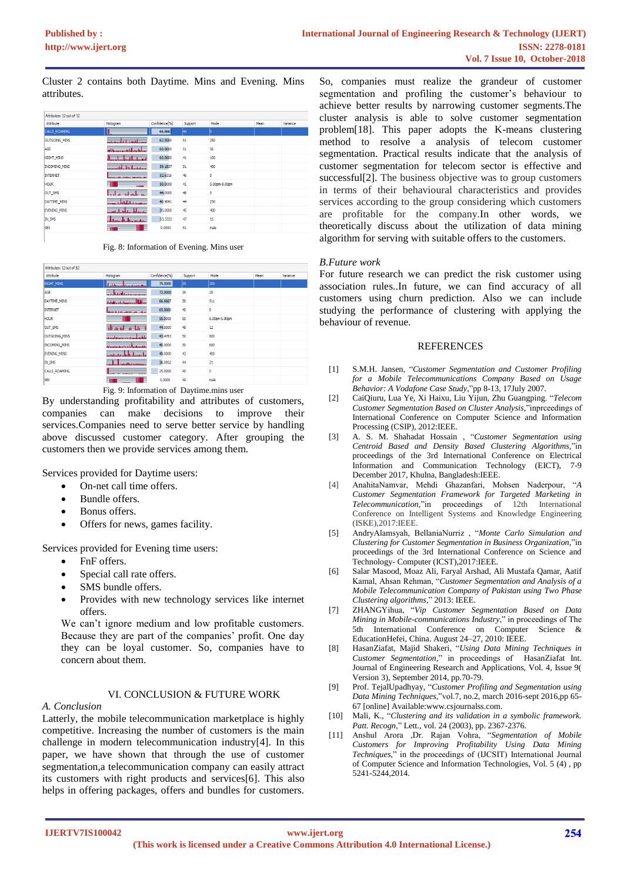Cluster 2 contains both Daytime. Mins and Evening. Mins attributes.

| Attributes: 12 out of 12 |                                 |               |         |               |      |          |
|--------------------------|---------------------------------|---------------|---------|---------------|------|----------|
| Attribute                | Histogram                       | Confidence(%) | Support | Mode          | Mean | Variance |
| CALLS ROAMING            |                                 | 66.6667       | 44      | lo            |      |          |
| <b>OUTGOING MINS</b>     | بمعصبه والقفون ببايته بأقصف معص | 62.5000       | 51      | 250           |      |          |
| AGE                      | المبالعا عبادا للسمين واللعب    | 60.0000       | 51      | 56            |      |          |
| NIGHT MINS               | استسلسلهما                      | 60,0000       | 41      | 100           |      |          |
| <b>INCOMING MINS</b>     |                                 | 59.1837       | 51      | 400           |      |          |
| <b>INTERNET</b>          | <b>BERTH CONTRACTOR</b>         | 52.6316       | 46      | 0             |      |          |
| <b>HOUR</b>              |                                 | 50.0000       | 41      | 5.00pm-8.00pm |      |          |
| <b>OUT SMS</b>           | المطمطين                        | 44,0000       | 48      | ٥             |      |          |
| DAYTIME MINS             | ويتمسح والباها والمأمة ويستنبذ  | 40.9091       | 44      | 250           |      |          |
| EVENING MINS             | عسماه والمتعاقبات ومس           | 35.0000       | 45      | 400           |      |          |
| IN SMS                   | ليستلب<br>المعامستانيا          | 33.3333       | 47      | 15            |      |          |
| <b>SEX</b>               | m                               | 0.0000        | 51      | male          |      |          |

Fig. 8: Information of Evening. Mins user

| Attributes: 12 out of 12 |                              |               |         |               |      |          |
|--------------------------|------------------------------|---------------|---------|---------------|------|----------|
| Attribute                | <b>Histogram</b>             | Confidence(%) | Support | Mode          | Mean | Variance |
| NIGHT MINS               | daddisonnaboacticationn      | 75.0000       | 35      | 200           |      |          |
| AGE                      | <b>International Advisor</b> | 72.0000       | 39      | 25            |      |          |
| DAYTIME_MINS             | سياتا المستمعا ماتسا فتأتانا | 66.6667       | 50      | 511           |      |          |
| <b>INTERNET</b>          | <b>ROOM AND CONTRACTOR</b>   | 65.0000       | 40      | ٥             |      |          |
| <b>HOUR</b>              |                              | 50.0000       | 50      | 6.00am-5.00pm |      |          |
| OUT_SMS                  | واللواق المتمت               | 44,0000       | 48      | 12            |      |          |
| <b>OUTGOING_MINS</b>     | فلغما وواست والمتحد          | 43,4783       | 50      | 600           |      |          |
| <b>INCOMING MINS</b>     | متسحس والمستحضر ومستحدث      | 40.0000       | 50      | 600           |      |          |
| <b>EVENING MINS</b>      | بالمستانية أنبهتمهم          | 40.0000       | 43      | 400           |      |          |
| <b>IN SMS</b>            | ۳.<br>aaaltaramaa            | 38.0952       | 44      | 21            |      |          |
| <b>CALLS ROAMING</b>     |                              | 25,0000       | 40      | o             |      |          |
| <b>SEX</b>               |                              | 0.0000        | 49      | male          |      |          |

Fig. 9: Information of Daytime.mins user

By understanding profitability and attributes of customers, companies can make decisions to improve their services.Companies need to serve better service by handling above discussed customer category. After grouping the customers then we provide services among them.

Services provided for Daytime users:

- On-net call time offers.
- Bundle offers.
- Bonus offers.
- Offers for news, games facility.

Services provided for Evening time users:

- FnF offers.
- Special call rate offers.
- SMS bundle offers.
- Provides with new technology services like internet offers.

We can't ignore medium and low profitable customers. Because they are part of the companies' profit. One day they can be loyal customer. So, companies have to concern about them.

# VI. CONCLUSION & FUTURE WORK

*A. Conclusion*

Latterly, the mobile telecommunication marketplace is highly competitive. Increasing the number of customers is the main challenge in modern telecommunication industry[4]. In this paper, we have shown that through the use of customer segmentation,a telecommunication company can easily attract its customers with right products and services[6]. This also helps in offering packages, offers and bundles for customers.

So, companies must realize the grandeur of customer segmentation and profiling the customer's behaviour to achieve better results by narrowing customer segments.The cluster analysis is able to solve customer segmentation problem[18]. This paper adopts the K-means clustering method to resolve a analysis of telecom customer segmentation. Practical results indicate that the analysis of customer segmentation for telecom sector is effective and successful[2]. The business objective was to group customers in terms of their behavioural characteristics and provides services according to the group considering which customers are profitable for the company.In other words, we theoretically discuss about the utilization of data mining algorithm for serving with suitable offers to the customers.

## *B.Future work*

For future research we can predict the risk customer using association rules..In future, we can find accuracy of all customers using churn prediction. Also we can include studying the performance of clustering with applying the behaviour of revenue.

## REFERENCES

- [1] S.M.H. Jansen, "*Customer Segmentation and Customer Profiling for a Mobile Telecommunications Company Based on Usage Behavior: A Vodafone Case Study,*"pp 8-13, 17July 2007.
- [2] CaiQiuru, Lua Ye, Xi Haixu, Liu Yijun, Zhu Guangping. "*Telecom Customer Segmentation Based on Cluster Analysis,*"inprceedings of International Conference on Computer Science and Information Processing (CSIP), 2012:IEEE.
- [3] A. S. M. Shahadat Hossain , "*Customer Segmentation using Centroid Based and Density Based Clustering Algorithms,*"in proceedings of the 3rd International Conference on Electrical Information and Communication Technology (EICT), 7-9 December 2017, Khulna, Bangladesh:IEEE.
- [4] AnahitaNamvar, Mehdi Ghazanfari, Mohsen Naderpour, "*A Customer Segmentation Framework for Targeted Marketing in Telecommunication,*"in proceedings of 12th International Conference on Intelligent Systems and Knowledge Engineering (ISKE),2017:IEEE.
- [5] AndryAlamsyah, BellaniaNurriz , "*Monte Carlo Simulation and Clustering for Customer Segmentation in Business Organization,*"in proceedings of the 3rd International Conference on Science and Technology- Computer (ICST),2017:IEEE.
- [6] Salar Masood, Moaz Ali, Faryal Arshad, Ali Mustafa Qamar, Aatif Kamal, Ahsan Rehman, "*Customer Segmentation and Analysis of a Mobile Telecommunication Company of Pakistan using Two Phase Clustering algorithms,*" 2013: IEEE.
- [7] ZHANGYihua, "*Vip Customer Segmentation Based on Data Mining in Mobile-communications Industry*," in proceedings of The 5th International Conference on Computer Science & EducationHefei, China. August 24–27, 2010: IEEE.
- [8] HasanZiafat, Majid Shakeri, "*Using Data Mining Techniques in Customer Segmentation,*" in proceedings of HasanZiafat Int. Journal of Engineering Research and Applications, Vol. 4, Issue 9( Version 3), September 2014, pp.70-79.
- [9] Prof. TejalUpadhyay, "*Customer Profiling and Segmentation using Data Mining Techniques,*"vol.7, no.2, march 2016-sept 2016,pp 65- 67 [online] Available:www.csjournalss.com.
- [10] Mali, K., "*Clustering and its validation in a symbolic framework. Patt. Recogn*," Lett., vol. 24 (2003), pp. 2367-2376.
- [11] Anshul Arora ,Dr. Rajan Vohra, "*Segmentation of Mobile Customers for Improving Profitability Using Data Mining Techniques*," in the proceedings of (IJCSIT) International Journal of Computer Science and Information Technologies, Vol. 5 (4) , pp 5241-5244,2014.